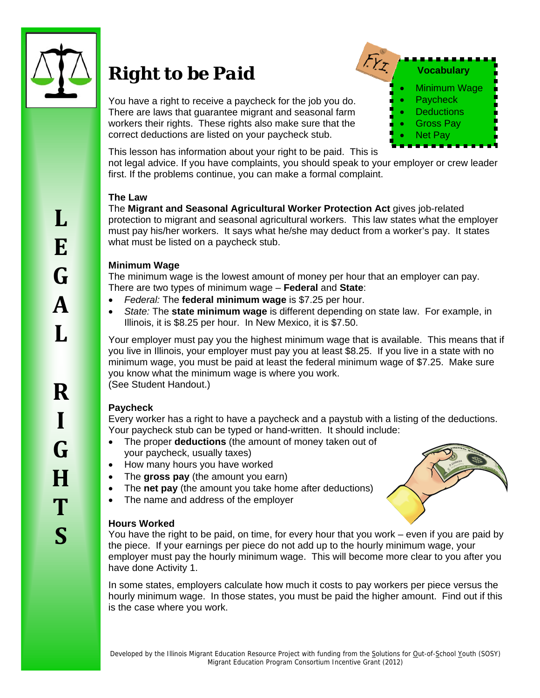

**L**

**E**

**G**

# *Right to be Paid*

You have a right to receive a paycheck for the job you do. There are laws that guarantee migrant and seasonal farm workers their rights. These rights also make sure that the correct deductions are listed on your paycheck stub.



This lesson has information about your right to be paid. This is

not legal advice. If you have complaints, you should speak to your employer or crew leader first. If the problems continue, you can make a formal complaint.

## **The Law**

The **Migrant and Seasonal Agricultural Worker Protection Act** gives job-related protection to migrant and seasonal agricultural workers. This law states what the employer must pay his/her workers. It says what he/she may deduct from a worker's pay. It states what must be listed on a paycheck stub.

## **Minimum Wage**

The minimum wage is the lowest amount of money per hour that an employer can pay. There are two types of minimum wage – **Federal** and **State**:

- *Federal:* The **federal minimum wage** is \$7.25 per hour.
- *State:* The **state minimum wage** is different depending on state law. For example, in Illinois, it is \$8.25 per hour. In New Mexico, it is \$7.50.

Your employer must pay you the highest minimum wage that is available. This means that if you live in Illinois, your employer must pay you at least \$8.25. If you live in a state with no minimum wage, you must be paid at least the federal minimum wage of \$7.25. Make sure you know what the minimum wage is where you work. (See Student Handout.)

## **Paycheck**

Every worker has a right to have a paycheck and a paystub with a listing of the deductions. Your paycheck stub can be typed or hand-written. It should include:

- The proper **deductions** (the amount of money taken out of your paycheck, usually taxes)
- How many hours you have worked
- The **gross pay** (the amount you earn)
- The **net pay** (the amount you take home after deductions)
- The name and address of the employer

## **Hours Worked**



You have the right to be paid, on time, for every hour that you work – even if you are paid by the piece. If your earnings per piece do not add up to the hourly minimum wage, your employer must pay the hourly minimum wage. This will become more clear to you after you have done Activity 1.

In some states, employers calculate how much it costs to pay workers per piece versus the hourly minimum wage. In those states, you must be paid the higher amount. Find out if this is the case where you work.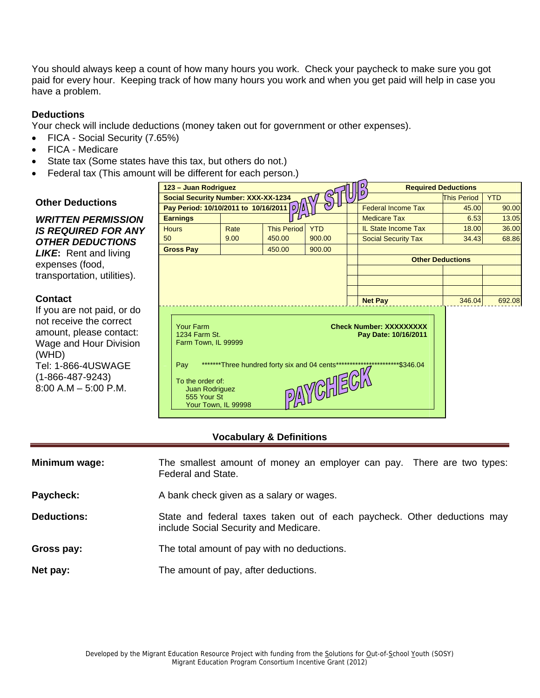You should always keep a count of how many hours you work. Check your paycheck to make sure you got paid for every hour. Keeping track of how many hours you work and when you get paid will help in case you have a problem.

### **Deductions**

Your check will include deductions (money taken out for government or other expenses).

- FICA Social Security (7.65%)
- FICA Medicare
- State tax (Some states have this tax, but others do not.)
- Federal tax (This amount will be different for each person.)

|                                                                                                                                                                    | 123 - Juan Rodriguez                                                                                                                 |                                                    |                    |                           |       | <b>Required Deductions</b>                                                      |                    |            |
|--------------------------------------------------------------------------------------------------------------------------------------------------------------------|--------------------------------------------------------------------------------------------------------------------------------------|----------------------------------------------------|--------------------|---------------------------|-------|---------------------------------------------------------------------------------|--------------------|------------|
| <b>Other Deductions</b>                                                                                                                                            | <b>Social Security Number: XXX-XX-1234</b>                                                                                           |                                                    |                    |                           |       |                                                                                 | <b>This Period</b> | <b>YTD</b> |
|                                                                                                                                                                    | Pay Period: 10/10/2011 to 10/16/2011   D)                                                                                            |                                                    |                    | <b>Federal Income Tax</b> | 45.00 | 90.00                                                                           |                    |            |
| <b>WRITTEN PERMISSION</b>                                                                                                                                          | <b>Earnings</b>                                                                                                                      |                                                    |                    |                           |       | <b>Medicare Tax</b>                                                             | 6.53               | 13.05      |
| <b>IS REQUIRED FOR ANY</b>                                                                                                                                         | <b>Hours</b>                                                                                                                         | Rate                                               | <b>This Period</b> | <b>YTD</b>                |       | <b>IL State Income Tax</b>                                                      | 18.00              | 36.00      |
| <b>OTHER DEDUCTIONS</b>                                                                                                                                            | 50                                                                                                                                   | 9.00                                               | 450.00             | 900.00                    |       | <b>Social Security Tax</b>                                                      | 34.43              | 68.86      |
| <b>LIKE:</b> Rent and living                                                                                                                                       | <b>Gross Pay</b>                                                                                                                     |                                                    | 450.00             | 900.00                    |       |                                                                                 |                    |            |
| expenses (food,                                                                                                                                                    |                                                                                                                                      |                                                    |                    |                           |       | <b>Other Deductions</b>                                                         |                    |            |
| transportation, utilities).                                                                                                                                        |                                                                                                                                      |                                                    |                    |                           |       |                                                                                 |                    |            |
|                                                                                                                                                                    |                                                                                                                                      |                                                    |                    |                           |       |                                                                                 |                    |            |
| <b>Contact</b>                                                                                                                                                     |                                                                                                                                      |                                                    |                    |                           |       | <b>Net Pay</b>                                                                  | 346.04             | 692.08     |
| If you are not paid, or do                                                                                                                                         |                                                                                                                                      |                                                    |                    |                           |       |                                                                                 |                    |            |
| not receive the correct<br>amount, please contact:<br>Wage and Hour Division<br>(WHD)<br>Tel: 1-866-4USWAGE<br>$(1 - 866 - 487 - 9243)$<br>$8:00$ A.M $-5:00$ P.M. | Your Farm<br>1234 Farm St.<br>Farm Town, IL 99999<br>Pav<br>To the order of:<br>Juan Rodriguez<br>555 Your St<br>Your Town, IL 99998 | ********Three hundred forty six and 04 cents****** |                    | PAYCHECK                  |       | <b>Check Number: XXXXXXXXX</b><br>Pay Date: 10/16/2011<br>*************\$346.04 |                    |            |

#### **Vocabulary & Definitions**

| Minimum wage:      | The smallest amount of money an employer can pay. There are two types:<br>Federal and State.                      |
|--------------------|-------------------------------------------------------------------------------------------------------------------|
| Paycheck:          | A bank check given as a salary or wages.                                                                          |
| <b>Deductions:</b> | State and federal taxes taken out of each paycheck. Other deductions may<br>include Social Security and Medicare. |
| Gross pay:         | The total amount of pay with no deductions.                                                                       |
| Net pay:           | The amount of pay, after deductions.                                                                              |

## **Other Deductions**

## **Contact**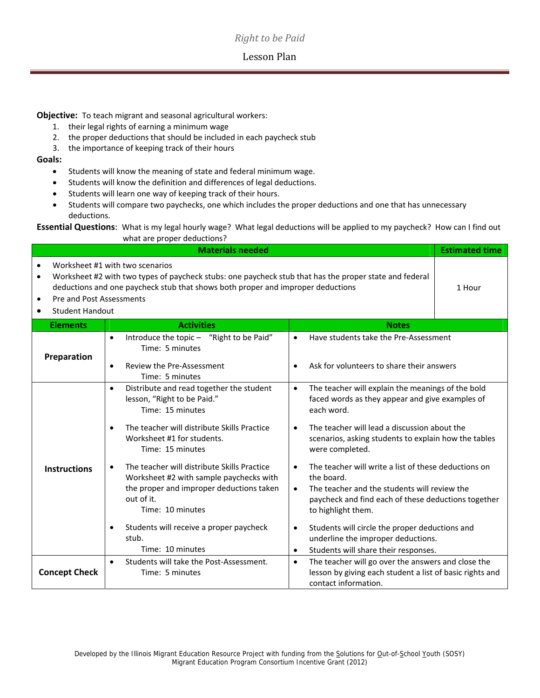## *Right to be Paid*

### Lesson Plan

**Objective:** To teach migrant and seasonal agricultural workers:

- 1. their legal rights of earning a minimum wage
- 2. the proper deductions that should be included in each paycheck stub
- 3. the importance of keeping track of their hours

#### **Goals:**

- Students will know the meaning of state and federal minimum wage.
- Students will know the definition and differences of legal deductions.
- **•** Students will learn one way of keeping track of their hours.
- Students will compare two paychecks, one which includes the proper deductions and one that has unnecessary deductions.

**Essential Questions**: What is my legal hourly wage? What legal deductions will be applied to my paycheck? How can I find out what are proper deductions?

|                                                                                                        | <b>Materials needed</b>                                                                                                                                                                                                      |                                                                                                                                                                                                                           | <b>Estimated time</b> |
|--------------------------------------------------------------------------------------------------------|------------------------------------------------------------------------------------------------------------------------------------------------------------------------------------------------------------------------------|---------------------------------------------------------------------------------------------------------------------------------------------------------------------------------------------------------------------------|-----------------------|
| $\bullet$<br>$\bullet$<br>Pre and Post Assessments<br>$\bullet$<br><b>Student Handout</b><br>$\bullet$ | Worksheet #1 with two scenarios<br>Worksheet #2 with two types of paycheck stubs: one paycheck stub that has the proper state and federal<br>deductions and one paycheck stub that shows both proper and improper deductions |                                                                                                                                                                                                                           | 1 Hour                |
| <b>Elements</b>                                                                                        | <b>Activities</b>                                                                                                                                                                                                            | <b>Notes</b>                                                                                                                                                                                                              |                       |
| Preparation                                                                                            | Introduce the topic - "Right to be Paid"<br>$\bullet$<br>Time: 5 minutes                                                                                                                                                     | Have students take the Pre-Assessment<br>$\bullet$                                                                                                                                                                        |                       |
|                                                                                                        | Review the Pre-Assessment<br>$\bullet$<br>Time: 5 minutes                                                                                                                                                                    | Ask for volunteers to share their answers<br>$\bullet$                                                                                                                                                                    |                       |
|                                                                                                        | Distribute and read together the student<br>$\bullet$<br>lesson, "Right to be Paid."<br>Time: 15 minutes                                                                                                                     | The teacher will explain the meanings of the bold<br>$\bullet$<br>faced words as they appear and give examples of<br>each word.                                                                                           |                       |
|                                                                                                        | The teacher will distribute Skills Practice<br>$\bullet$<br>Worksheet #1 for students.<br>Time: 15 minutes                                                                                                                   | The teacher will lead a discussion about the<br>$\bullet$<br>scenarios, asking students to explain how the tables<br>were completed.                                                                                      |                       |
| <b>Instructions</b>                                                                                    | The teacher will distribute Skills Practice<br>$\bullet$<br>Worksheet #2 with sample paychecks with<br>the proper and improper deductions taken<br>out of it.<br>Time: 10 minutes                                            | The teacher will write a list of these deductions on<br>$\bullet$<br>the board.<br>The teacher and the students will review the<br>$\bullet$<br>paycheck and find each of these deductions together<br>to highlight them. |                       |
|                                                                                                        | Students will receive a proper paycheck<br>$\bullet$<br>stub.<br>Time: 10 minutes                                                                                                                                            | Students will circle the proper deductions and<br>$\bullet$<br>underline the improper deductions.<br>Students will share their responses.<br>$\bullet$                                                                    |                       |
| <b>Concept Check</b>                                                                                   | Students will take the Post-Assessment.<br>$\bullet$<br>Time: 5 minutes                                                                                                                                                      | The teacher will go over the answers and close the<br>$\bullet$<br>lesson by giving each student a list of basic rights and<br>contact information.                                                                       |                       |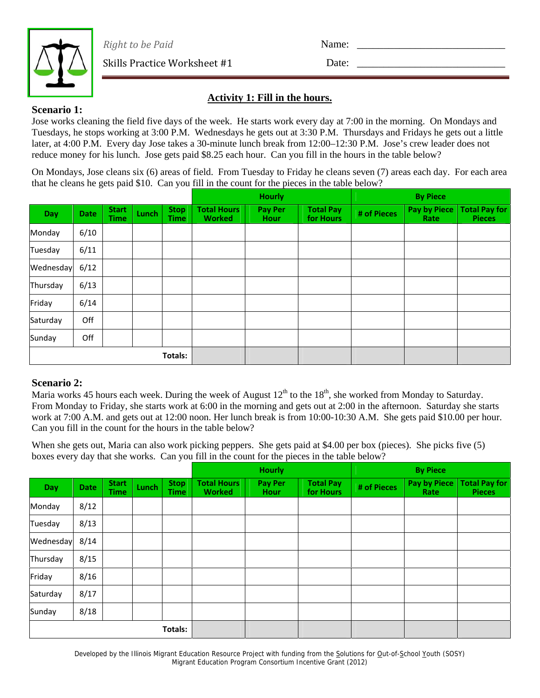

*Right to be Paid*

Date:

Name:

Skills Practice Worksheet #1

## **Activity 1: Fill in the hours.**

## **Scenario 1:**

Jose works cleaning the field five days of the week. He starts work every day at 7:00 in the morning. On Mondays and Tuesdays, he stops working at 3:00 P.M. Wednesdays he gets out at 3:30 P.M. Thursdays and Fridays he gets out a little later, at 4:00 P.M. Every day Jose takes a 30-minute lunch break from 12:00–12:30 P.M. Jose's crew leader does not reduce money for his lunch. Jose gets paid \$8.25 each hour. Can you fill in the hours in the table below?

On Mondays, Jose cleans six (6) areas of field. From Tuesday to Friday he cleans seven (7) areas each day. For each area that he cleans he gets paid \$10. Can you fill in the count for the pieces in the table below?

|           |             |                             |              |                            |                                     | <b>Hourly</b>          |                               |             | <b>By Piece</b>      |                                       |
|-----------|-------------|-----------------------------|--------------|----------------------------|-------------------------------------|------------------------|-------------------------------|-------------|----------------------|---------------------------------------|
| Day       | <b>Date</b> | <b>Start</b><br><b>Time</b> | <b>Lunch</b> | <b>Stop</b><br><b>Time</b> | <b>Total Hours</b><br><b>Worked</b> | <b>Pay Per</b><br>Hour | <b>Total Pay</b><br>for Hours | # of Pieces | Pay by Piece<br>Rate | <b>Total Pay for</b><br><b>Pieces</b> |
| Monday    | 6/10        |                             |              |                            |                                     |                        |                               |             |                      |                                       |
| Tuesday   | 6/11        |                             |              |                            |                                     |                        |                               |             |                      |                                       |
| Wednesday | 6/12        |                             |              |                            |                                     |                        |                               |             |                      |                                       |
| Thursday  | 6/13        |                             |              |                            |                                     |                        |                               |             |                      |                                       |
| Friday    | 6/14        |                             |              |                            |                                     |                        |                               |             |                      |                                       |
| Saturday  | Off         |                             |              |                            |                                     |                        |                               |             |                      |                                       |
| Sunday    | Off         |                             |              |                            |                                     |                        |                               |             |                      |                                       |
|           |             |                             |              | <b>Totals:</b>             |                                     |                        |                               |             |                      |                                       |

## **Scenario 2:**

Maria works 45 hours each week. During the week of August  $12^{th}$  to the  $18^{th}$ , she worked from Monday to Saturday. From Monday to Friday, she starts work at 6:00 in the morning and gets out at 2:00 in the afternoon. Saturday she starts work at 7:00 A.M. and gets out at 12:00 noon. Her lunch break is from 10:00-10:30 A.M. She gets paid \$10.00 per hour. Can you fill in the count for the hours in the table below?

When she gets out, Maria can also work picking peppers. She gets paid at \$4.00 per box (pieces). She picks five (5) boxes every day that she works. Can you fill in the count for the pieces in the table below?

|            |             |                             |       |                            |                                     | <b>Hourly</b>          |                               |             | <b>By Piece</b>      |                                       |  |  |
|------------|-------------|-----------------------------|-------|----------------------------|-------------------------------------|------------------------|-------------------------------|-------------|----------------------|---------------------------------------|--|--|
| <b>Day</b> | <b>Date</b> | <b>Start</b><br><b>Time</b> | Lunch | <b>Stop</b><br><b>Time</b> | <b>Total Hours</b><br><b>Worked</b> | <b>Pay Per</b><br>Hour | <b>Total Pay</b><br>for Hours | # of Pieces | Pay by Piece<br>Rate | <b>Total Pay for</b><br><b>Pieces</b> |  |  |
| Monday     | 8/12        |                             |       |                            |                                     |                        |                               |             |                      |                                       |  |  |
| Tuesday    | 8/13        |                             |       |                            |                                     |                        |                               |             |                      |                                       |  |  |
| Wednesday  | 8/14        |                             |       |                            |                                     |                        |                               |             |                      |                                       |  |  |
| Thursday   | 8/15        |                             |       |                            |                                     |                        |                               |             |                      |                                       |  |  |
| Friday     | 8/16        |                             |       |                            |                                     |                        |                               |             |                      |                                       |  |  |
| Saturday   | 8/17        |                             |       |                            |                                     |                        |                               |             |                      |                                       |  |  |
| Sunday     | 8/18        |                             |       |                            |                                     |                        |                               |             |                      |                                       |  |  |
|            |             |                             |       | Totals:                    |                                     |                        |                               |             |                      |                                       |  |  |

Developed by the Illinois Migrant Education Resource Project with funding from the Solutions for Out-of-School Youth (SOSY) Migrant Education Program Consortium Incentive Grant (2012)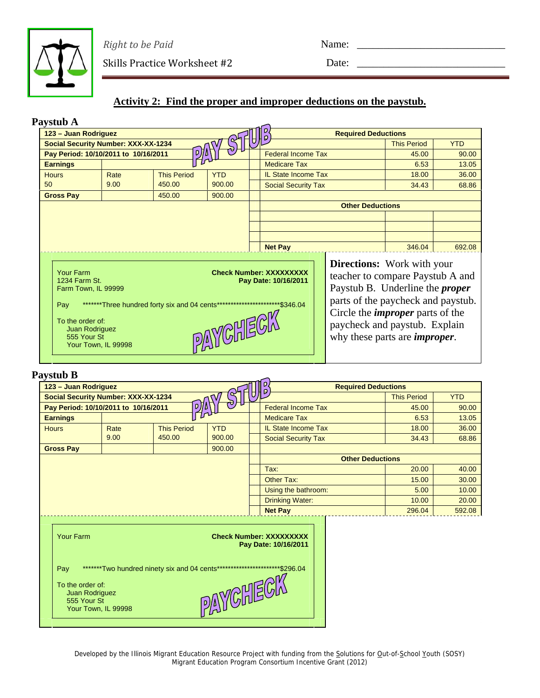

*Right to be Paid*

Skills Practice Worksheet #2

Name:

Date:

# **Activity 2: Find the proper and improper deductions on the paystub.**

| Paystub A                                                                                                                                   |      |                                                             |            |                                                                    |  |                                                                                                                                                                                                                                                                            |                    |            |
|---------------------------------------------------------------------------------------------------------------------------------------------|------|-------------------------------------------------------------|------------|--------------------------------------------------------------------|--|----------------------------------------------------------------------------------------------------------------------------------------------------------------------------------------------------------------------------------------------------------------------------|--------------------|------------|
| 123 - Juan Rodriguez                                                                                                                        |      |                                                             |            |                                                                    |  | <b>Required Deductions</b>                                                                                                                                                                                                                                                 |                    |            |
| <b>Social Security Number: XXX-XX-1234</b>                                                                                                  |      |                                                             |            |                                                                    |  |                                                                                                                                                                                                                                                                            | <b>This Period</b> | <b>YTD</b> |
| Pay Period: 10/10/2011 to 10/16/2011                                                                                                        |      |                                                             |            | <b>Federal Income Tax</b>                                          |  |                                                                                                                                                                                                                                                                            | 45.00              | 90.00      |
| <b>Earnings</b>                                                                                                                             |      |                                                             |            | <b>Medicare Tax</b>                                                |  |                                                                                                                                                                                                                                                                            | 6.53               | 13.05      |
| <b>Hours</b>                                                                                                                                | Rate | <b>This Period</b>                                          | <b>YTD</b> | <b>IL State Income Tax</b>                                         |  |                                                                                                                                                                                                                                                                            | 18.00              | 36.00      |
| 50                                                                                                                                          | 9.00 | 450.00                                                      | 900.00     | <b>Social Security Tax</b>                                         |  |                                                                                                                                                                                                                                                                            | 34.43              | 68.86      |
| <b>Gross Pay</b>                                                                                                                            |      | 450.00                                                      | 900.00     |                                                                    |  |                                                                                                                                                                                                                                                                            |                    |            |
|                                                                                                                                             |      |                                                             |            |                                                                    |  | <b>Other Deductions</b>                                                                                                                                                                                                                                                    |                    |            |
|                                                                                                                                             |      |                                                             |            |                                                                    |  |                                                                                                                                                                                                                                                                            |                    |            |
|                                                                                                                                             |      |                                                             |            |                                                                    |  |                                                                                                                                                                                                                                                                            |                    |            |
|                                                                                                                                             |      |                                                             |            |                                                                    |  |                                                                                                                                                                                                                                                                            |                    |            |
|                                                                                                                                             |      |                                                             |            | <b>Net Pay</b>                                                     |  |                                                                                                                                                                                                                                                                            | 346.04             | 692.08     |
| <b>Your Farm</b><br>1234 Farm St.<br>Farm Town, IL 99999<br>Pay<br>To the order of:<br>Juan Rodriguez<br>555 Your St<br>Your Town, IL 99998 |      | ********Three hundred forty six and 04 cents*************** | PAYCHECA   | <b>Check Number: XXXXXXXXX</b><br>Pay Date: 10/16/2011<br>\$346.04 |  | <b>Directions:</b> Work with your<br>teacher to compare Paystub A and<br>Paystub B. Underline the <i>proper</i><br>parts of the paycheck and paystub.<br>Circle the <i>improper</i> parts of the<br>paycheck and paystub. Explain<br>why these parts are <i>improper</i> . |                    |            |

## **Paystub B**

| 123 - Juan Rodriguez                                                         |                     |                                                                            |            | D<br>۱p                                                | <b>Required Deductions</b> |                    |            |
|------------------------------------------------------------------------------|---------------------|----------------------------------------------------------------------------|------------|--------------------------------------------------------|----------------------------|--------------------|------------|
| <b>Social Security Number: XXX-XX-1234</b>                                   |                     |                                                                            |            |                                                        |                            | <b>This Period</b> | <b>YTD</b> |
| Pay Period: 10/10/2011 to 10/16/2011                                         |                     | ₽∬Δ                                                                        |            | <b>Federal Income Tax</b>                              |                            | 45.00              | 90.00      |
| <b>Earnings</b>                                                              |                     |                                                                            |            | <b>Medicare Tax</b>                                    |                            | 6.53               | 13.05      |
| <b>Hours</b>                                                                 | Rate                | <b>This Period</b>                                                         | <b>YTD</b> | <b>IL State Income Tax</b>                             |                            | 18.00              | 36.00      |
|                                                                              | 9.00                | 450.00                                                                     | 900.00     | <b>Social Security Tax</b>                             |                            | 34.43              | 68.86      |
| <b>Gross Pay</b>                                                             |                     |                                                                            | 900.00     |                                                        |                            |                    |            |
|                                                                              |                     |                                                                            |            |                                                        | <b>Other Deductions</b>    |                    |            |
|                                                                              |                     |                                                                            |            | Tax:                                                   |                            | 20.00              | 40.00      |
|                                                                              |                     |                                                                            |            | <b>Other Tax:</b>                                      |                            | 15.00              | 30.00      |
|                                                                              |                     |                                                                            |            | Using the bathroom:                                    |                            | 5.00               | 10.00      |
|                                                                              |                     |                                                                            |            | <b>Drinking Water:</b>                                 |                            | 10.00              | 20.00      |
|                                                                              |                     |                                                                            |            | <b>Net Pay</b>                                         |                            | 296.04             | 592.08     |
| <b>Your Farm</b><br>Pay<br>To the order of:<br>Juan Rodriguez<br>555 Your St | Your Town, IL 99998 | *******Two hundred ninety six and 04 cents************************\$296.04 | PAYCHECK   | <b>Check Number: XXXXXXXXX</b><br>Pay Date: 10/16/2011 |                            |                    |            |

Developed by the Illinois Migrant Education Resource Project with funding from the Solutions for Out-of-School Youth (SOSY) Migrant Education Program Consortium Incentive Grant (2012)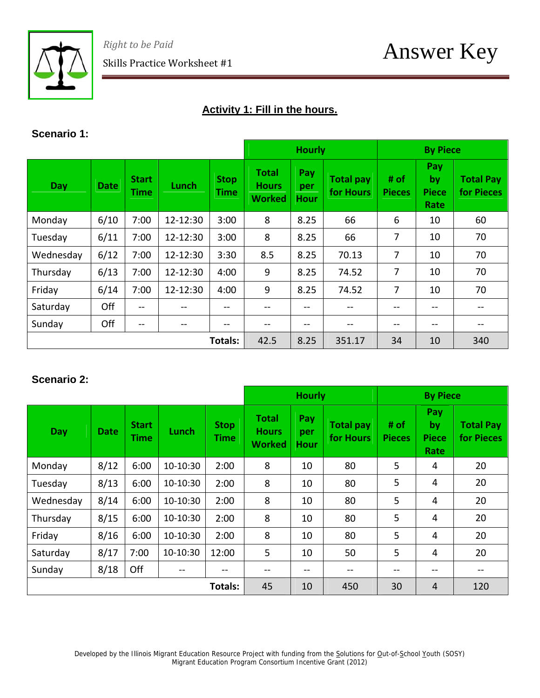

# **Activity 1: Fill in the hours.**

## **Scenario 1:**

|            |             |                             |                          |                            |                                               | <b>Hourly</b>                    |                               |                       | <b>By Piece</b>                   |                                |  |  |
|------------|-------------|-----------------------------|--------------------------|----------------------------|-----------------------------------------------|----------------------------------|-------------------------------|-----------------------|-----------------------------------|--------------------------------|--|--|
| <b>Day</b> | <b>Date</b> | <b>Start</b><br><b>Time</b> | Lunch                    | <b>Stop</b><br><b>Time</b> | <b>Total</b><br><b>Hours</b><br><b>Worked</b> | <b>Pay</b><br>per<br><b>Hour</b> | <b>Total pay</b><br>for Hours | # of<br><b>Pieces</b> | Pay<br>by<br><b>Piece</b><br>Rate | <b>Total Pay</b><br>for Pieces |  |  |
| Monday     | 6/10        | 7:00                        | 12-12:30                 | 3:00                       | 8                                             | 8.25                             | 66                            | 6                     | 10                                | 60                             |  |  |
| Tuesday    | 6/11        | 7:00                        | 12-12:30                 | 3:00                       | 8                                             | 8.25                             | 66                            | 7                     | 10                                | 70                             |  |  |
| Wednesday  | 6/12        | 7:00                        | 12-12:30                 | 3:30                       | 8.5                                           | 8.25                             | 70.13                         | 7                     | 10                                | 70                             |  |  |
| Thursday   | 6/13        | 7:00                        | 12-12:30                 | 4:00                       | 9                                             | 8.25                             | 74.52                         | 7                     | 10                                | 70                             |  |  |
| Friday     | 6/14        | 7:00                        | 12-12:30                 | 4:00                       | 9                                             | 8.25                             | 74.52                         | 7                     | 10                                | 70                             |  |  |
| Saturday   | Off         | $- -$                       |                          |                            |                                               | --                               |                               | --                    | --                                | --                             |  |  |
| Sunday     | Off         | $- -$                       | $\overline{\phantom{a}}$ | --                         |                                               | --                               | --                            | --                    | $- -$                             | $- -$                          |  |  |
|            |             |                             |                          | Totals:                    | 42.5                                          | 8.25                             | 351.17                        | 34                    | 10                                | 340                            |  |  |

# **Scenario 2:**

|            |             |                             |          |                            |                                        | <b>Hourly</b>                    |                               |                       | <b>By Piece</b>                   |                                |  |  |
|------------|-------------|-----------------------------|----------|----------------------------|----------------------------------------|----------------------------------|-------------------------------|-----------------------|-----------------------------------|--------------------------------|--|--|
| <b>Day</b> | <b>Date</b> | <b>Start</b><br><b>Time</b> | Lunch    | <b>Stop</b><br><b>Time</b> | Total<br><b>Hours</b><br><b>Worked</b> | <b>Pay</b><br>per<br><b>Hour</b> | <b>Total pay</b><br>for Hours | # of<br><b>Pieces</b> | Pay<br>by<br><b>Piece</b><br>Rate | <b>Total Pay</b><br>for Pieces |  |  |
| Monday     | 8/12        | 6:00                        | 10-10:30 | 2:00                       | 8                                      | 10                               | 80                            | 5                     | 4                                 | 20                             |  |  |
| Tuesday    | 8/13        | 6:00                        | 10-10:30 | 2:00                       | 8                                      | 10                               | 80                            | 5                     | 4                                 | 20                             |  |  |
| Wednesday  | 8/14        | 6:00                        | 10-10:30 | 2:00                       | 8                                      | 10                               | 80                            | 5                     | 4                                 | 20                             |  |  |
| Thursday   | 8/15        | 6:00                        | 10-10:30 | 2:00                       | 8                                      | 10                               | 80                            | 5                     | 4                                 | 20                             |  |  |
| Friday     | 8/16        | 6:00                        | 10-10:30 | 2:00                       | 8                                      | 10                               | 80                            | 5                     | 4                                 | 20                             |  |  |
| Saturday   | 8/17        | 7:00                        | 10-10:30 | 12:00                      | 5                                      | 10                               | 50                            | 5                     | 4                                 | 20                             |  |  |
| Sunday     | 8/18        | Off                         | --       | --                         | --                                     | $- -$                            | --                            | --                    | --                                | --                             |  |  |
|            |             |                             |          | Totals:                    | 45                                     | 10                               | 450                           | 30                    | 4                                 | 120                            |  |  |

Developed by the Illinois Migrant Education Resource Project with funding from the Solutions for Out-of-School Youth (SOSY) Migrant Education Program Consortium Incentive Grant (2012)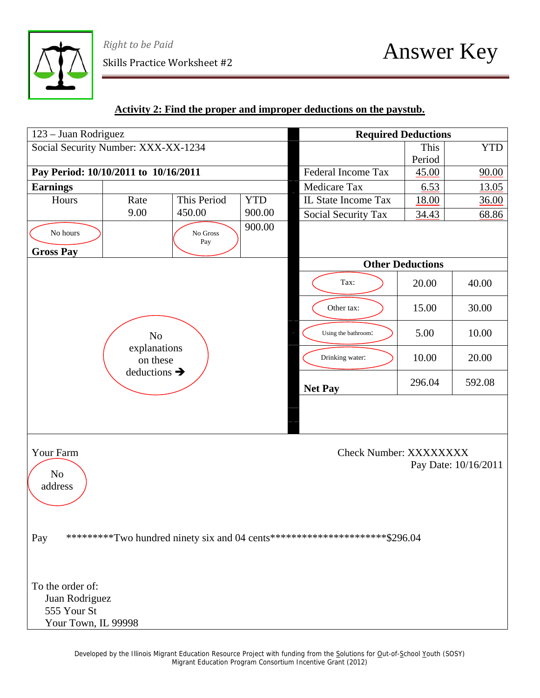

*Right to be Paid*  $\mathcal{S}_{\text{Right to be Paid}}$ <br>Skills Practice Worksheet #2  $\mathcal{A}_{\text{nswer}}$   $\mathcal{A}_{\text{nswer}}$   $\mathcal{A}_{\text{nsver}}$ 

# **Activity 2: Find the proper and improper deductions on the paystub.**

| 123 – Juan Rodriguez                 |                          |                 |            | <b>Required Deductions</b>                                                   |                         |                      |
|--------------------------------------|--------------------------|-----------------|------------|------------------------------------------------------------------------------|-------------------------|----------------------|
| Social Security Number: XXX-XX-1234  |                          |                 |            |                                                                              | This                    | <b>YTD</b>           |
|                                      |                          |                 |            |                                                                              | Period                  |                      |
| Pay Period: 10/10/2011 to 10/16/2011 |                          |                 |            | <b>Federal Income Tax</b>                                                    | 45.00                   | 90.00                |
| <b>Earnings</b>                      |                          |                 |            | <b>Medicare Tax</b>                                                          | 6.53                    | 13.05                |
| Hours                                | Rate                     | This Period     | <b>YTD</b> | IL State Income Tax                                                          | 18.00                   | 36.00                |
|                                      | 9.00                     | 450.00          | 900.00     | Social Security Tax                                                          | 34.43                   | 68.86                |
| No hours                             |                          | No Gross<br>Pay | 900.00     |                                                                              |                         |                      |
| <b>Gross Pay</b>                     |                          |                 |            |                                                                              | <b>Other Deductions</b> |                      |
|                                      |                          |                 |            |                                                                              |                         |                      |
|                                      |                          |                 |            | Tax:                                                                         | 20.00                   | 40.00                |
|                                      |                          |                 |            | Other tax:                                                                   | 15.00                   | 30.00                |
|                                      | No                       |                 |            | Using the bathroom:                                                          | 5.00                    | 10.00                |
|                                      | explanations<br>on these |                 |            | Drinking water:                                                              | 10.00                   | 20.00                |
|                                      | deductions $\rightarrow$ |                 |            | <b>Net Pay</b>                                                               | 296.04                  | 592.08               |
|                                      |                          |                 |            |                                                                              |                         |                      |
| Your Farm<br>$\rm No$<br>address     |                          |                 |            | Check Number: XXXXXXXX                                                       |                         | Pay Date: 10/16/2011 |
| Pay<br>To the order of:              |                          |                 |            | ***********Two hundred ninety six and 04 cents**********************\$296.04 |                         |                      |
| Juan Rodriguez                       |                          |                 |            |                                                                              |                         |                      |
| 555 Your St                          |                          |                 |            |                                                                              |                         |                      |
| Your Town, IL 99998                  |                          |                 |            |                                                                              |                         |                      |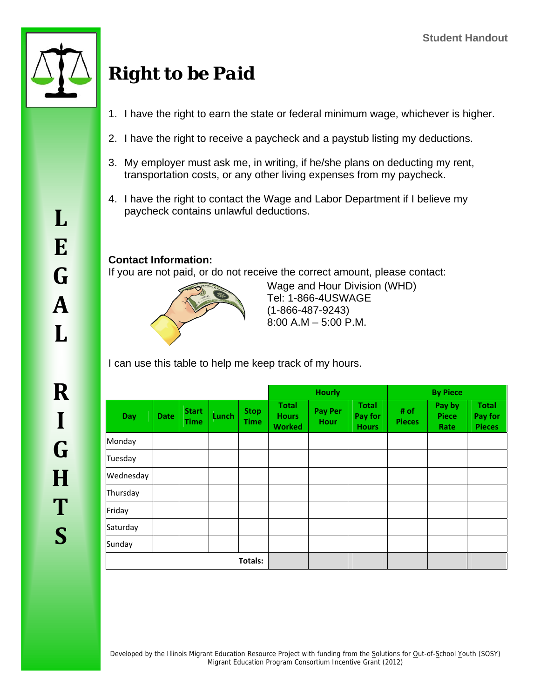

**L**

**E**

# *Right to be Paid*

- 1. I have the right to earn the state or federal minimum wage, whichever is higher.
- 2. I have the right to receive a paycheck and a paystub listing my deductions.
- 3. My employer must ask me, in writing, if he/she plans on deducting my rent, transportation costs, or any other living expenses from my paycheck.
- 4. I have the right to contact the Wage and Labor Department if I believe my paycheck contains unlawful deductions.

# **Contact Information:**

If you are not paid, or do not receive the correct amount, please contact:



Wage and Hour Division (WHD) Tel: 1-866-4USWAGE (1-866-487-9243) 8:00 A.M – 5:00 P.M.

I can use this table to help me keep track of my hours.

|           |             |                      |       |                            |                                               | <b>Hourly</b>                 |                                         | <b>By Piece</b>       |                                |                                          |  |
|-----------|-------------|----------------------|-------|----------------------------|-----------------------------------------------|-------------------------------|-----------------------------------------|-----------------------|--------------------------------|------------------------------------------|--|
| Day       | <b>Date</b> | <b>Start</b><br>Time | Lunch | <b>Stop</b><br><b>Time</b> | <b>Total</b><br><b>Hours</b><br><b>Worked</b> | <b>Pay Per</b><br><b>Hour</b> | <b>Total</b><br>Pay for<br><b>Hours</b> | # of<br><b>Pieces</b> | Pay by<br><b>Piece</b><br>Rate | <b>Total</b><br>Pay for<br><b>Pieces</b> |  |
| Monday    |             |                      |       |                            |                                               |                               |                                         |                       |                                |                                          |  |
| Tuesday   |             |                      |       |                            |                                               |                               |                                         |                       |                                |                                          |  |
| Wednesday |             |                      |       |                            |                                               |                               |                                         |                       |                                |                                          |  |
| Thursday  |             |                      |       |                            |                                               |                               |                                         |                       |                                |                                          |  |
| Friday    |             |                      |       |                            |                                               |                               |                                         |                       |                                |                                          |  |
| Saturday  |             |                      |       |                            |                                               |                               |                                         |                       |                                |                                          |  |
| Sunday    |             |                      |       |                            |                                               |                               |                                         |                       |                                |                                          |  |
|           |             |                      |       | Totals:                    |                                               |                               |                                         |                       |                                |                                          |  |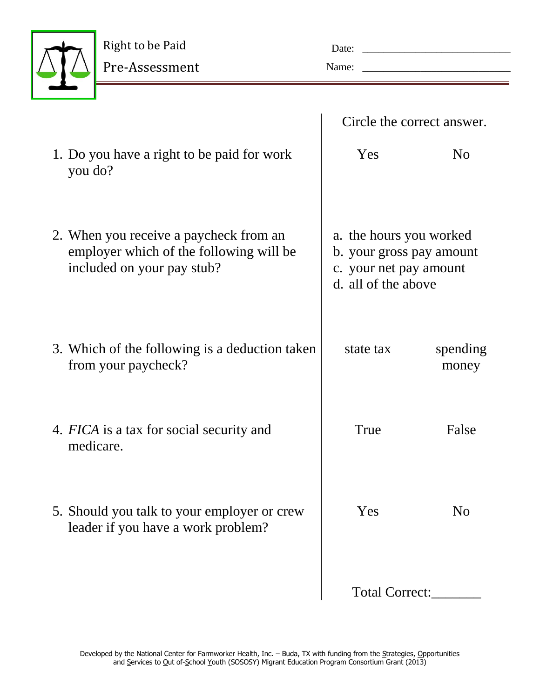

| Date: |  |
|-------|--|
| Name: |  |

|                                                                                                                 | Circle the correct answer.                                                                           |                   |
|-----------------------------------------------------------------------------------------------------------------|------------------------------------------------------------------------------------------------------|-------------------|
| 1. Do you have a right to be paid for work<br>you do?                                                           | Yes                                                                                                  | N <sub>0</sub>    |
| 2. When you receive a paycheck from an<br>employer which of the following will be<br>included on your pay stub? | a. the hours you worked<br>b. your gross pay amount<br>c. your net pay amount<br>d. all of the above |                   |
| 3. Which of the following is a deduction taken<br>from your paycheck?                                           | state tax                                                                                            | spending<br>money |
| 4. FICA is a tax for social security and<br>medicare.                                                           | True                                                                                                 | False             |
| 5. Should you talk to your employer or crew<br>leader if you have a work problem?                               | Yes                                                                                                  | N <sub>o</sub>    |
|                                                                                                                 | Total Correct:                                                                                       |                   |